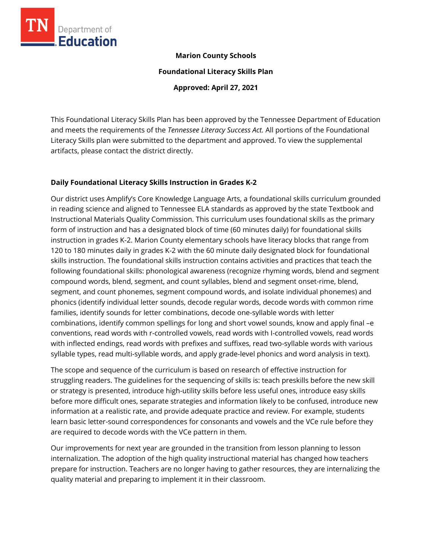

#### **Marion County Schools**

**Foundational Literacy Skills Plan**

**Approved: April 27, 2021**

This Foundational Literacy Skills Plan has been approved by the Tennessee Department of Education and meets the requirements of the *Tennessee Literacy Success Act.* All portions of the Foundational Literacy Skills plan were submitted to the department and approved. To view the supplemental artifacts, please contact the district directly.

# **Daily Foundational Literacy Skills Instruction in Grades K-2**

Our district uses Amplify's Core Knowledge Language Arts, a foundational skills curriculum grounded in reading science and aligned to Tennessee ELA standards as approved by the state Textbook and Instructional Materials Quality Commission. This curriculum uses foundational skills as the primary form of instruction and has a designated block of time (60 minutes daily) for foundational skills instruction in grades K-2. Marion County elementary schools have literacy blocks that range from 120 to 180 minutes daily in grades K-2 with the 60 minute daily designated block for foundational skills instruction. The foundational skills instruction contains activities and practices that teach the following foundational skills: phonological awareness (recognize rhyming words, blend and segment compound words, blend, segment, and count syllables, blend and segment onset-rime, blend, segment, and count phonemes, segment compound words, and isolate individual phonemes) and phonics (identify individual letter sounds, decode regular words, decode words with common rime families, identify sounds for letter combinations, decode one-syllable words with letter combinations, identify common spellings for long and short vowel sounds, know and apply final –e conventions, read words with r-controlled vowels, read words with I-controlled vowels, read words with inflected endings, read words with prefixes and suffixes, read two-syllable words with various syllable types, read multi-syllable words, and apply grade-level phonics and word analysis in text).

The scope and sequence of the curriculum is based on research of effective instruction for struggling readers. The guidelines for the sequencing of skills is: teach preskills before the new skill or strategy is presented, introduce high-utility skills before less useful ones, introduce easy skills before more difficult ones, separate strategies and information likely to be confused, introduce new information at a realistic rate, and provide adequate practice and review. For example, students learn basic letter-sound correspondences for consonants and vowels and the VCe rule before they are required to decode words with the VCe pattern in them.

Our improvements for next year are grounded in the transition from lesson planning to lesson internalization. The adoption of the high quality instructional material has changed how teachers prepare for instruction. Teachers are no longer having to gather resources, they are internalizing the quality material and preparing to implement it in their classroom.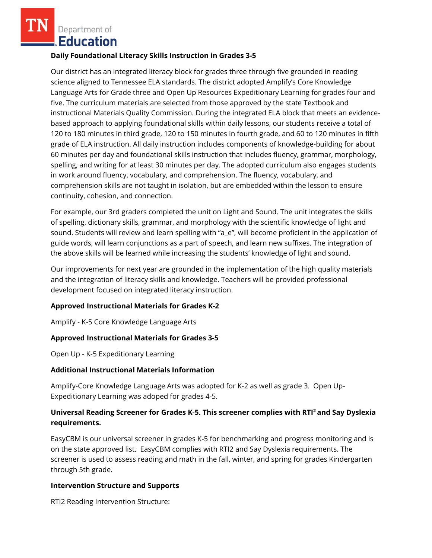Department of **Education** 

#### **Daily Foundational Literacy Skills Instruction in Grades 3-5**

Our district has an integrated literacy block for grades three through five grounded in reading science aligned to Tennessee ELA standards. The district adopted Amplify's Core Knowledge Language Arts for Grade three and Open Up Resources Expeditionary Learning for grades four and five. The curriculum materials are selected from those approved by the state Textbook and instructional Materials Quality Commission. During the integrated ELA block that meets an evidencebased approach to applying foundational skills within daily lessons, our students receive a total of 120 to 180 minutes in third grade, 120 to 150 minutes in fourth grade, and 60 to 120 minutes in fifth grade of ELA instruction. All daily instruction includes components of knowledge-building for about 60 minutes per day and foundational skills instruction that includes fluency, grammar, morphology, spelling, and writing for at least 30 minutes per day. The adopted curriculum also engages students in work around fluency, vocabulary, and comprehension. The fluency, vocabulary, and comprehension skills are not taught in isolation, but are embedded within the lesson to ensure continuity, cohesion, and connection.

For example, our 3rd graders completed the unit on Light and Sound. The unit integrates the skills of spelling, dictionary skills, grammar, and morphology with the scientific knowledge of light and sound. Students will review and learn spelling with "a\_e", will become proficient in the application of guide words, will learn conjunctions as a part of speech, and learn new suffixes. The integration of the above skills will be learned while increasing the students' knowledge of light and sound.

Our improvements for next year are grounded in the implementation of the high quality materials and the integration of literacy skills and knowledge. Teachers will be provided professional development focused on integrated literacy instruction.

## **Approved Instructional Materials for Grades K-2**

Amplify - K-5 Core Knowledge Language Arts

## **Approved Instructional Materials for Grades 3-5**

Open Up - K-5 Expeditionary Learning

## **Additional Instructional Materials Information**

Amplify-Core Knowledge Language Arts was adopted for K-2 as well as grade 3. Open Up-Expeditionary Learning was adoped for grades 4-5.

# **Universal Reading Screener for Grades K-5. This screener complies with RTI<sup>2</sup>and Say Dyslexia requirements.**

EasyCBM is our universal screener in grades K-5 for benchmarking and progress monitoring and is on the state approved list. EasyCBM complies with RTI2 and Say Dyslexia requirements. The screener is used to assess reading and math in the fall, winter, and spring for grades Kindergarten through 5th grade.

## **Intervention Structure and Supports**

RTI2 Reading Intervention Structure: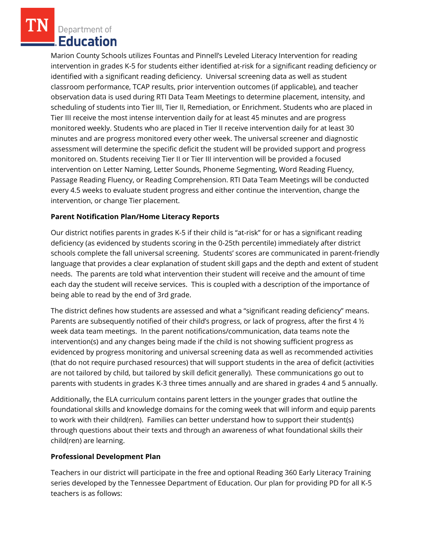Department of **Education** 

Marion County Schools utilizes Fountas and Pinnell's Leveled Literacy Intervention for reading intervention in grades K-5 for students either identified at-risk for a significant reading deficiency or identified with a significant reading deficiency. Universal screening data as well as student classroom performance, TCAP results, prior intervention outcomes (if applicable), and teacher observation data is used during RTI Data Team Meetings to determine placement, intensity, and scheduling of students into Tier III, Tier II, Remediation, or Enrichment. Students who are placed in Tier III receive the most intense intervention daily for at least 45 minutes and are progress monitored weekly. Students who are placed in Tier II receive intervention daily for at least 30 minutes and are progress monitored every other week. The universal screener and diagnostic assessment will determine the specific deficit the student will be provided support and progress monitored on. Students receiving Tier II or Tier III intervention will be provided a focused intervention on Letter Naming, Letter Sounds, Phoneme Segmenting, Word Reading Fluency, Passage Reading Fluency, or Reading Comprehension. RTI Data Team Meetings will be conducted every 4.5 weeks to evaluate student progress and either continue the intervention, change the intervention, or change Tier placement.

# **Parent Notification Plan/Home Literacy Reports**

Our district notifies parents in grades K-5 if their child is "at-risk" for or has a significant reading deficiency (as evidenced by students scoring in the 0-25th percentile) immediately after district schools complete the fall universal screening. Students' scores are communicated in parent-friendly language that provides a clear explanation of student skill gaps and the depth and extent of student needs. The parents are told what intervention their student will receive and the amount of time each day the student will receive services. This is coupled with a description of the importance of being able to read by the end of 3rd grade.

The district defines how students are assessed and what a "significant reading deficiency" means. Parents are subsequently notified of their child's progress, or lack of progress, after the first 4  $\frac{1}{2}$ week data team meetings. In the parent notifications/communication, data teams note the intervention(s) and any changes being made if the child is not showing sufficient progress as evidenced by progress monitoring and universal screening data as well as recommended activities (that do not require purchased resources) that will support students in the area of deficit (activities are not tailored by child, but tailored by skill deficit generally). These communications go out to parents with students in grades K-3 three times annually and are shared in grades 4 and 5 annually.

Additionally, the ELA curriculum contains parent letters in the younger grades that outline the foundational skills and knowledge domains for the coming week that will inform and equip parents to work with their child(ren). Families can better understand how to support their student(s) through questions about their texts and through an awareness of what foundational skills their child(ren) are learning.

## **Professional Development Plan**

Teachers in our district will participate in the free and optional Reading 360 Early Literacy Training series developed by the Tennessee Department of Education. Our plan for providing PD for all K-5 teachers is as follows: